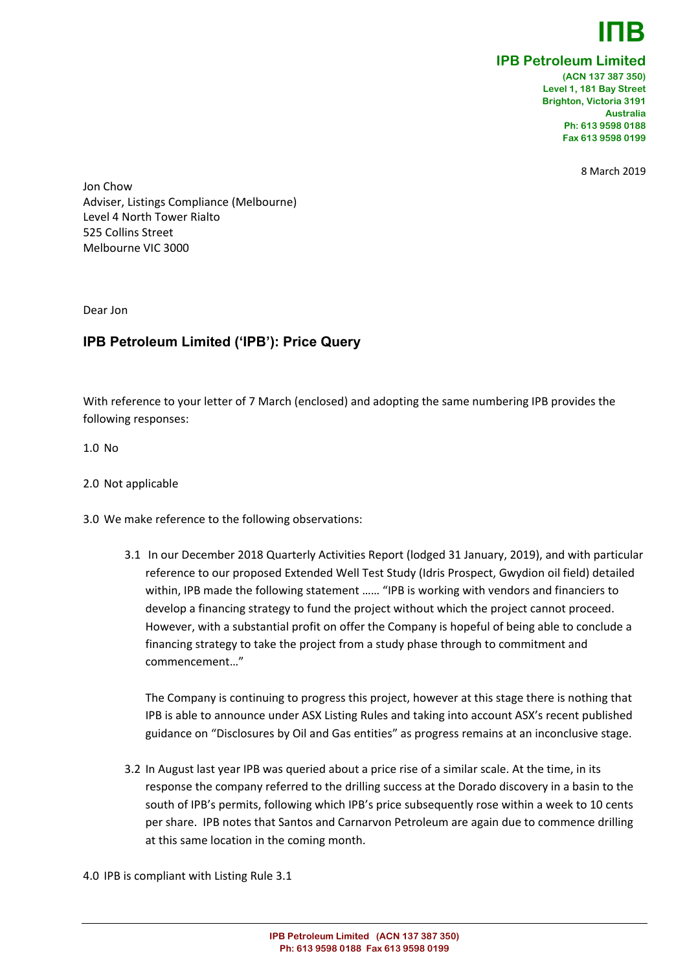**ΙΠB**

## **IPB Petroleum Limited**

**(ACN 137 387 350) Level 1, 181 Bay Street Brighton, Victoria 3191 Australia Ph: 613 9598 0188 Fax 613 9598 0199**

8 March 2019

Jon Chow Adviser, Listings Compliance (Melbourne) Level 4 North Tower Rialto 525 Collins Street Melbourne VIC 3000

Dear Jon

# **IPB Petroleum Limited ('IPB'): Price Query**

With reference to your letter of 7 March (enclosed) and adopting the same numbering IPB provides the following responses:

1.0 No

- 2.0 Not applicable
- 3.0 We make reference to the following observations:
	- 3.1 In our December 2018 Quarterly Activities Report (lodged 31 January, 2019), and with particular reference to our proposed Extended Well Test Study (Idris Prospect, Gwydion oil field) detailed within, IPB made the following statement …… "IPB is working with vendors and financiers to develop a financing strategy to fund the project without which the project cannot proceed. However, with a substantial profit on offer the Company is hopeful of being able to conclude a financing strategy to take the project from a study phase through to commitment and commencement…"

The Company is continuing to progress this project, however at this stage there is nothing that IPB is able to announce under ASX Listing Rules and taking into account ASX's recent published guidance on "Disclosures by Oil and Gas entities" as progress remains at an inconclusive stage.

3.2 In August last year IPB was queried about a price rise of a similar scale. At the time, in its response the company referred to the drilling success at the Dorado discovery in a basin to the south of IPB's permits, following which IPB's price subsequently rose within a week to 10 cents per share. IPB notes that Santos and Carnarvon Petroleum are again due to commence drilling at this same location in the coming month.

4.0 IPB is compliant with Listing Rule 3.1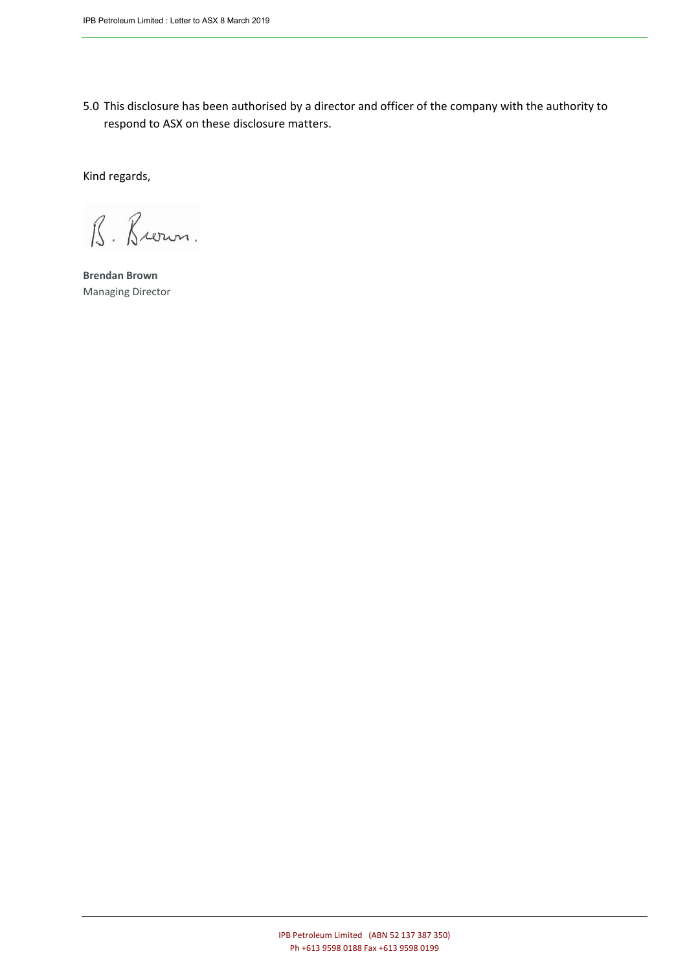5.0 This disclosure has been authorised by a director and officer of the company with the authority to respond to ASX on these disclosure matters.

Kind regards,

B. Brown.

**Brendan Brown** Managing Director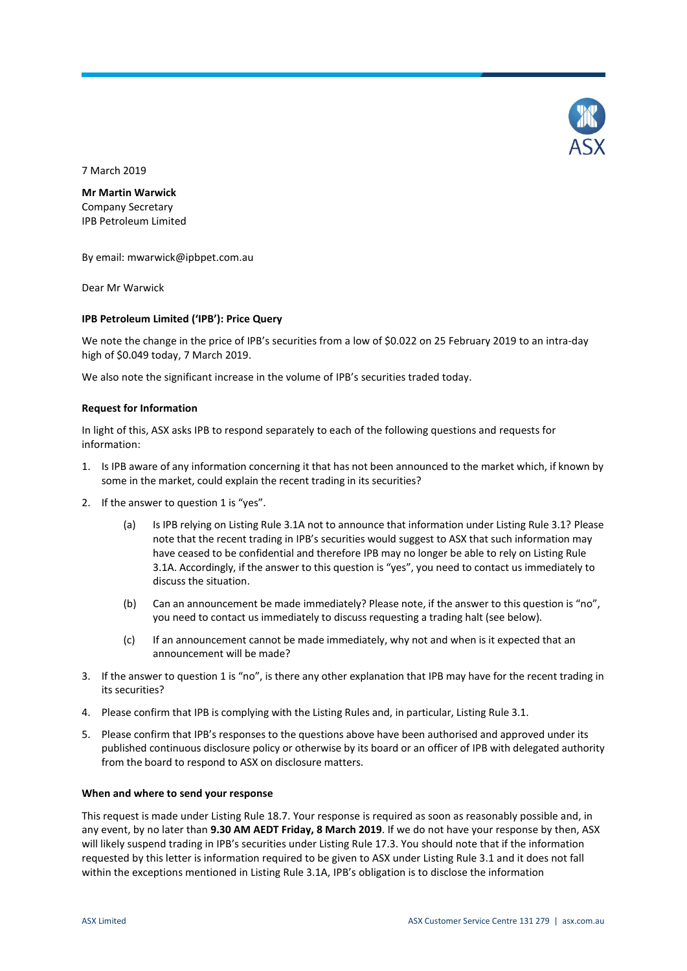

7 March 2019

**Mr Martin Warwick**

Company Secretary IPB Petroleum Limited

By email: mwarwick@ipbpet.com.au

Dear Mr Warwick

### **IPB Petroleum Limited ('IPB'): Price Query**

We note the change in the price of IPB's securities from a low of \$0.022 on 25 February 2019 to an intra-day high of \$0.049 today, 7 March 2019.

We also note the significant increase in the volume of IPB's securities traded today.

### **Request for Information**

In light of this, ASX asks IPB to respond separately to each of the following questions and requests for information:

- 1. Is IPB aware of any information concerning it that has not been announced to the market which, if known by some in the market, could explain the recent trading in its securities?
- 2. If the answer to question 1 is "yes".
	- (a) Is IPB relying on Listing Rule 3.1A not to announce that information under Listing Rule 3.1? Please note that the recent trading in IPB's securities would suggest to ASX that such information may have ceased to be confidential and therefore IPB may no longer be able to rely on Listing Rule 3.1A. Accordingly, if the answer to this question is "yes", you need to contact us immediately to discuss the situation.
	- (b) Can an announcement be made immediately? Please note, if the answer to this question is "no", you need to contact us immediately to discuss requesting a trading halt (see below).
	- (c) If an announcement cannot be made immediately, why not and when is it expected that an announcement will be made?
- 3. If the answer to question 1 is "no", is there any other explanation that IPB may have for the recent trading in its securities?
- 4. Please confirm that IPB is complying with the Listing Rules and, in particular, Listing Rule 3.1.
- 5. Please confirm that IPB's responses to the questions above have been authorised and approved under its published continuous disclosure policy or otherwise by its board or an officer of IPB with delegated authority from the board to respond to ASX on disclosure matters.

#### **When and where to send your response**

This request is made under Listing Rule 18.7. Your response is required as soon as reasonably possible and, in any event, by no later than **9.30 AM AEDT Friday, 8 March 2019**. If we do not have your response by then, ASX will likely suspend trading in IPB's securities under Listing Rule 17.3. You should note that if the information requested by this letter is information required to be given to ASX under Listing Rule 3.1 and it does not fall within the exceptions mentioned in Listing Rule 3.1A, IPB's obligation is to disclose the information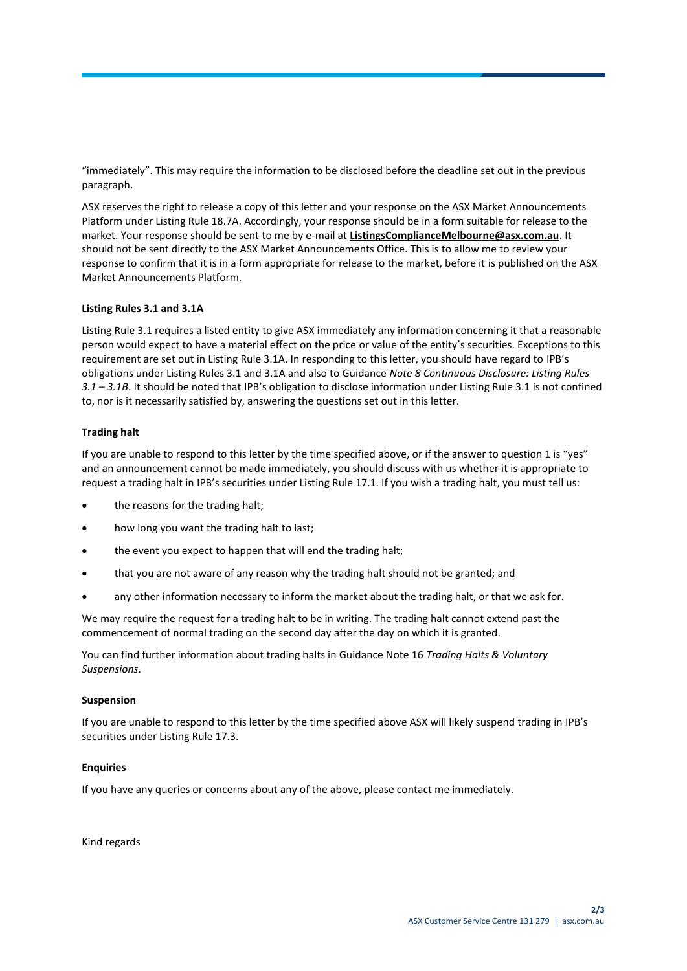"immediately". This may require the information to be disclosed before the deadline set out in the previous paragraph.

ASX reserves the right to release a copy of this letter and your response on the ASX Market Announcements Platform under Listing Rule 18.7A. Accordingly, your response should be in a form suitable for release to the market. Your response should be sent to me by e-mail at **ListingsComplianceMelbourne@asx.com.au**. It should not be sent directly to the ASX Market Announcements Office. This is to allow me to review your response to confirm that it is in a form appropriate for release to the market, before it is published on the ASX Market Announcements Platform.

## **Listing Rules 3.1 and 3.1A**

Listing Rule 3.1 requires a listed entity to give ASX immediately any information concerning it that a reasonable person would expect to have a material effect on the price or value of the entity's securities. Exceptions to this requirement are set out in Listing Rule 3.1A. In responding to this letter, you should have regard to IPB's obligations under Listing Rules 3.1 and 3.1A and also to Guidance *Note 8 Continuous Disclosure: Listing Rules 3.1 – 3.1B*. It should be noted that IPB's obligation to disclose information under Listing Rule 3.1 is not confined to, nor is it necessarily satisfied by, answering the questions set out in this letter.

### **Trading halt**

If you are unable to respond to this letter by the time specified above, or if the answer to question 1 is "yes" and an announcement cannot be made immediately, you should discuss with us whether it is appropriate to request a trading halt in IPB's securities under Listing Rule 17.1. If you wish a trading halt, you must tell us:

- the reasons for the trading halt;
- how long you want the trading halt to last;
- the event you expect to happen that will end the trading halt;
- that you are not aware of any reason why the trading halt should not be granted; and
- any other information necessary to inform the market about the trading halt, or that we ask for.

We may require the request for a trading halt to be in writing. The trading halt cannot extend past the commencement of normal trading on the second day after the day on which it is granted.

You can find further information about trading halts in Guidance Note 16 *Trading Halts & Voluntary Suspensions*.

#### **Suspension**

If you are unable to respond to this letter by the time specified above ASX will likely suspend trading in IPB's securities under Listing Rule 17.3.

#### **Enquiries**

If you have any queries or concerns about any of the above, please contact me immediately.

Kind regards